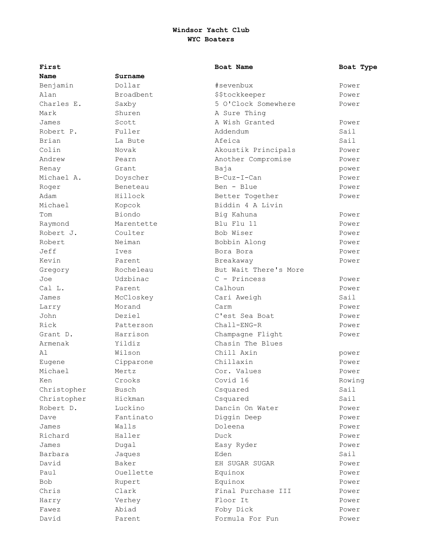| First       |            | Boat Name             | Boat Type |
|-------------|------------|-----------------------|-----------|
| Name        | Surname    |                       |           |
| Benjamin    | Dollar     | #sevenbux             | Power     |
| Alan        | Broadbent  | \$\$tockkeeper        | Power     |
| Charles E.  | Saxby      | 5 O'Clock Somewhere   | Power     |
| Mark        | Shuren     | A Sure Thing          |           |
| James       | Scott      | A Wish Granted        | Power     |
| Robert P.   | Fuller     | Addendum              | Sail      |
| Brian       | La Bute    | Afeica                | Sail      |
| Colin       | Novak      | Akoustik Principals   | Power     |
| Andrew      | Pearn      | Another Compromise    | Power     |
| Renay       | Grant      | Baja                  | power     |
| Michael A.  | Doyscher   | $B-Cuz-I-Can$         | Power     |
| Roger       | Beneteau   | Ben - Blue            | Power     |
| Adam        | Hillock    | Better Together       | Power     |
| Michael     | Kopcok     | Biddin 4 A Livin      |           |
| Tom         | Biondo     | Big Kahuna            | Power     |
| Raymond     | Marentette | Blu Flu 11            | Power     |
| Robert J.   | Coulter    | Bob Wiser             | Power     |
| Robert      | Neiman     | Bobbin Along          | Power     |
| Jeff        | Ives       | Bora Bora             | Power     |
| Kevin       | Parent     | Breakaway             | Power     |
| Gregory     | Rocheleau  | But Wait There's More |           |
| Joe         | Udzbinac   | $C - Princess$        | Power     |
| Cal L.      | Parent     | Calhoun               | Power     |
| James       | McCloskey  | Cari Aweigh           | Sail      |
| Larry       | Morand     | Carm                  | Power     |
| John        | Deziel     | C'est Sea Boat        | Power     |
| Rick        | Patterson  | Chall-ENG-R           | Power     |
| Grant D.    | Harrison   | Champagne Flight      | Power     |
| Armenak     | Yildiz     | Chasin The Blues      |           |
| A1          | Wilson     | Chill Axin            | power     |
| Eugene      | Cipparone  | Chillaxin             | Power     |
| Michael     | Mertz      | Cor. Values           | Power     |
| Ken         | Crooks     | Covid 16              | Rowing    |
| Christopher | Busch      | Csquared              | Sail      |
| Christopher | Hickman    | Csquared              | Sail      |
| Robert D.   | Luckino    | Dancin On Water       | Power     |
| Dave        | Fantinato  | Diggin Deep           | Power     |
| James       | Walls      | Doleena               | Power     |
| Richard     | Haller     | Duck                  | Power     |
| James       | Dugal      | Easy Ryder            | Power     |
| Barbara     | Jaques     | Eden                  | Sail      |
| David       | Baker      | EH SUGAR SUGAR        | Power     |
| Paul        | Ouellette  | Equinox               | Power     |
| <b>Bob</b>  | Rupert     | Equinox               | Power     |
| Chris       | Clark      | Final Purchase III    | Power     |
| Harry       | Verhey     | Floor It              | Power     |
| Fawez       | Abiad      | Foby Dick             | Power     |
| David       | Parent     | Formula For Fun       | Power     |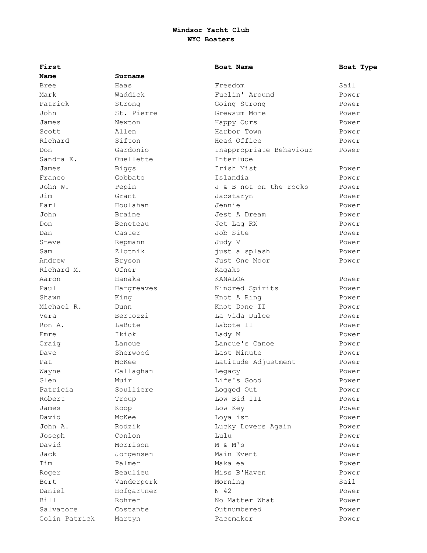| First         |            | Boat Name               | Boat Type |
|---------------|------------|-------------------------|-----------|
| Name          | Surname    |                         |           |
| <b>Bree</b>   | Haas       | Freedom                 | Sail      |
| Mark          | Waddick    | Fuelin' Around          | Power     |
| Patrick       | Strong     | Going Strong            | Power     |
| John          | St. Pierre | Grewsum More            | Power     |
| James         | Newton     | Happy Ours              | Power     |
| Scott         | Allen      | Harbor Town             | Power     |
| Richard       | Sifton     | Head Office             | Power     |
| Don           | Gardonio   | Inappropriate Behaviour | Power     |
| Sandra E.     | Ouellette  | Interlude               |           |
| James         | Biggs      | Irish Mist              | Power     |
| Franco        | Gobbato    | Islandia                | Power     |
| John W.       | Pepin      | J & B not on the rocks  | Power     |
| Jim           | Grant      | Jacstaryn               | Power     |
| Earl          | Houlahan   | Jennie                  | Power     |
| John          | Braine     | Jest A Dream            | Power     |
| Don           | Beneteau   | Jet Lag RX              | Power     |
| Dan           | Caster     | Job Site                | Power     |
| Steve         | Repmann    | Judy V                  | Power     |
| Sam           | Zlotnik    | just a splash           | Power     |
| Andrew        | Bryson     | Just One Moor           | Power     |
| Richard M.    | Ofner      | Kagaks                  |           |
| Aaron         | Hanaka     | KANALOA                 | Power     |
| Paul          | Hargreaves | Kindred Spirits         | Power     |
| Shawn         | King       | Knot A Ring             | Power     |
| Michael R.    | Dunn       | Knot Done II            | Power     |
| Vera          | Bertozzi   | La Vida Dulce           | Power     |
| Ron A.        | LaBute     | Labote II               | Power     |
| Emre          | Ikiok      | Lady M                  | Power     |
| Craig         | Lanoue     | Lanoue's Canoe          | Power     |
| Dave          | Sherwood   | Last Minute             | Power     |
| Pat           | McKee      | Latitude Adjustment     | Power     |
| Wayne         | Callaghan  | Legacy                  | Power     |
| Glen          | Muir       | Life's Good             | Power     |
| Patricia      | Soulliere  | Logged Out              | Power     |
| Robert        | Troup      | Low Bid III             | Power     |
| James         | Koop       | Low Key                 | Power     |
| David         | McKee      | Loyalist                | Power     |
| John A.       | Rodzik     | Lucky Lovers Again      | Power     |
| Joseph        | Conlon     | Lulu                    | Power     |
| David         | Morrison   | M & M's                 | Power     |
| Jack          | Jorgensen  | Main Event              | Power     |
| Tim           | Palmer     | Makalea                 | Power     |
| Roger         | Beaulieu   | Miss B'Haven            | Power     |
| Bert          | Vanderperk | Morning                 | Sail      |
| Daniel        | Hofgartner | N 42                    | Power     |
| Bill          | Rohrer     | No Matter What          | Power     |
| Salvatore     | Costante   | Outnumbered             | Power     |
| Colin Patrick | Martyn     | Pacemaker               | Power     |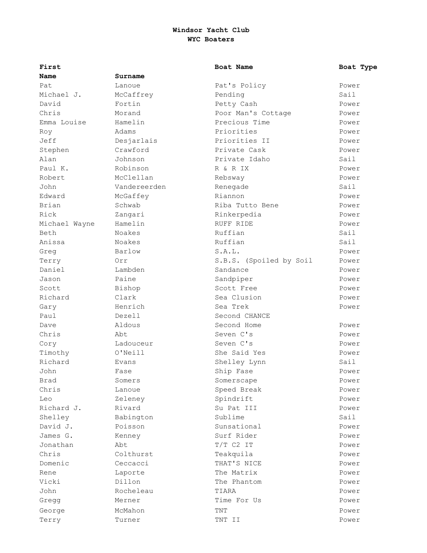| First         |              | Boat Name               | Boat Type |
|---------------|--------------|-------------------------|-----------|
| Name          | Surname      |                         |           |
| Pat.          | Lanoue       | Pat's Policy            | Power     |
| Michael J.    | McCaffrey    | Pending                 | Sail      |
| David         | Fortin       | Petty Cash              | Power     |
| Chris         | Morand       | Poor Man's Cottage      | Power     |
| Emma Louise   | Hamelin      | Precious Time           | Power     |
| Roy           | Adams        | Priorities              | Power     |
| Jeff          | Desjarlais   | Priorities II           | Power     |
| Stephen       | Crawford     | Private Cask            | Power     |
| Alan          | Johnson      | Private Idaho           | Sail      |
| Paul K.       | Robinson     | R & R IX                | Power     |
| Robert        | McClellan    | Rebsway                 | Power     |
| John          | Vandereerden | Renegade                | Sail      |
| Edward        | McGaffey     | Riannon                 | Power     |
| Brian         | Schwab       | Riba Tutto Bene         | Power     |
| Rick          | Zangari      | Rinkerpedia             | Power     |
| Michael Wayne | Hamelin      | RUFF RIDE               | Power     |
| Beth          | Noakes       | Ruffian                 | Sail      |
| Anissa        | Noakes       | Ruffian                 | Sail      |
| Greg          | Barlow       | S.A.L.                  | Power     |
| Terry         | Orr          | S.B.S. (Spoiled by Soil | Power     |
| Daniel        | Lambden      | Sandance                | Power     |
| Jason         | Paine        | Sandpiper               | Power     |
| Scott         | Bishop       | Scott Free              | Power     |
| Richard       | Clark        | Sea Clusion             | Power     |
| Gary          | Henrich      | Sea Trek                | Power     |
| Paul          | Dezell       | Second CHANCE           |           |
| Dave          | Aldous       | Second Home             | Power     |
| Chris         | Abt          | Seven C's               | Power     |
| Cory          | Ladouceur    | Seven C's               | Power     |
| Timothy       | O'Neill      | She Said Yes            | Power     |
| Richard       | Evans        | Shelley Lynn            | Sail      |
| John          | Fase         | Ship Fase               | Power     |
| Brad          | Somers       | Somerscape              | Power     |
| Chris         | Lanoue       | Speed Break             | Power     |
| Leo           | Zeleney      | Spindrift               | Power     |
| Richard J.    | Rivard       | Su Pat III              | Power     |
| Shelley       | Babington    | Sublime                 | Sail      |
| David J.      | Poisson      | Sunsational             | Power     |
| James G.      | Kenney       | Surf Rider              | Power     |
| Jonathan      | Abt          | $T/T$ C2 IT             | Power     |
| Chris         | Colthurst    | Teakquila               | Power     |
| Domenic       | Ceccacci     | THAT'S NICE             | Power     |
| Rene          | Laporte      | The Matrix              | Power     |
| Vicki         | Dillon       | The Phantom             | Power     |
| John          | Rocheleau    | TIARA                   | Power     |
| Gregg         | Merner       | Time For Us             | Power     |
| George        | McMahon      | TNT                     | Power     |
| Terry         | Turner       | TNT II                  | Power     |